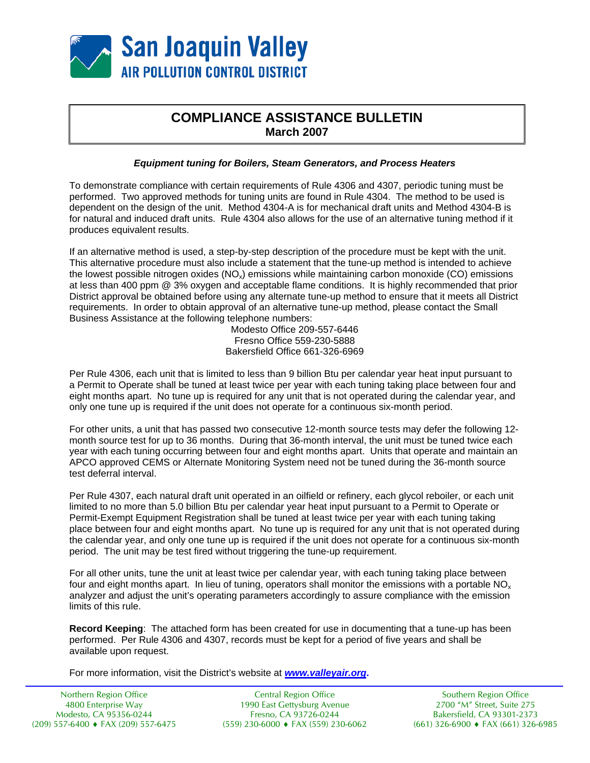

## **COMPLIANCE ASSISTANCE BULLETIN March 2007**

## *Equipment tuning for Boilers, Steam Generators, and Process Heaters*

To demonstrate compliance with certain requirements of Rule 4306 and 4307, periodic tuning must be performed. Two approved methods for tuning units are found in Rule 4304. The method to be used is dependent on the design of the unit. Method 4304-A is for mechanical draft units and Method 4304-B is for natural and induced draft units. Rule 4304 also allows for the use of an alternative tuning method if it produces equivalent results.

If an alternative method is used, a step-by-step description of the procedure must be kept with the unit. This alternative procedure must also include a statement that the tune-up method is intended to achieve the lowest possible nitrogen oxides  $(NQ_x)$  emissions while maintaining carbon monoxide (CO) emissions at less than 400 ppm @ 3% oxygen and acceptable flame conditions. It is highly recommended that prior District approval be obtained before using any alternate tune-up method to ensure that it meets all District requirements. In order to obtain approval of an alternative tune-up method, please contact the Small Business Assistance at the following telephone numbers:

Modesto Office 209-557-6446 Fresno Office 559-230-5888 Bakersfield Office 661-326-6969

Per Rule 4306, each unit that is limited to less than 9 billion Btu per calendar year heat input pursuant to a Permit to Operate shall be tuned at least twice per year with each tuning taking place between four and eight months apart. No tune up is required for any unit that is not operated during the calendar year, and only one tune up is required if the unit does not operate for a continuous six-month period.

For other units, a unit that has passed two consecutive 12-month source tests may defer the following 12 month source test for up to 36 months. During that 36-month interval, the unit must be tuned twice each year with each tuning occurring between four and eight months apart. Units that operate and maintain an APCO approved CEMS or Alternate Monitoring System need not be tuned during the 36-month source test deferral interval.

Per Rule 4307, each natural draft unit operated in an oilfield or refinery, each glycol reboiler, or each unit limited to no more than 5.0 billion Btu per calendar year heat input pursuant to a Permit to Operate or Permit-Exempt Equipment Registration shall be tuned at least twice per year with each tuning taking place between four and eight months apart. No tune up is required for any unit that is not operated during the calendar year, and only one tune up is required if the unit does not operate for a continuous six-month period. The unit may be test fired without triggering the tune-up requirement.

For all other units, tune the unit at least twice per calendar year, with each tuning taking place between four and eight months apart. In lieu of tuning, operators shall monitor the emissions with a portable  $NO<sub>x</sub>$ analyzer and adjust the unit's operating parameters accordingly to assure compliance with the emission limits of this rule.

**Record Keeping**: The attached form has been created for use in documenting that a tune-up has been performed. Per Rule 4306 and 4307, records must be kept for a period of five years and shall be available upon request.

For more information, visit the District's website at *[www.valleyair.org](http://www.valleyair.org/)***.**